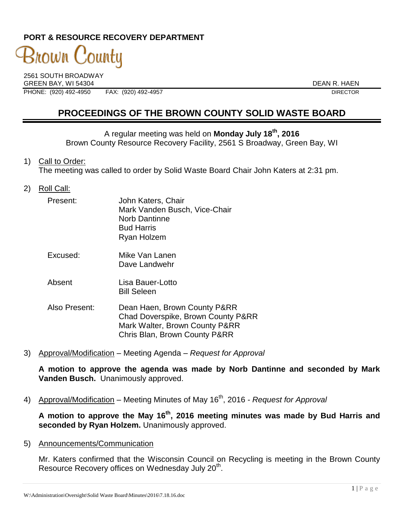### **PORT & RESOURCE RECOVERY DEPARTMENT**

# 3nown C 'ountu

2561 SOUTH BROADWAY GREEN BAY, WI 54304 DEAN R. HAEN PHONE: (920) 492-4950 FAX: (920) 492-4957 DIRECTOR

## **PROCEEDINGS OF THE BROWN COUNTY SOLID WASTE BOARD**

A regular meeting was held on **Monday July 18th, 2016** Brown County Resource Recovery Facility, 2561 S Broadway, Green Bay, WI

- 1) Call to Order: The meeting was called to order by Solid Waste Board Chair John Katers at 2:31 pm.
- 2) Roll Call:

| Present: | John Katers, Chair<br>Mark Vanden Busch, Vice-Chair<br><b>Norb Dantinne</b><br><b>Bud Harris</b><br>Ryan Holzem |
|----------|-----------------------------------------------------------------------------------------------------------------|
| Excused: | Mike Van Lanen<br>Dave Landwehr                                                                                 |
| Absent   | Lisa Bauer-Lotto                                                                                                |

Bill Seleen

- Also Present: Dean Haen, Brown County P&RR Chad Doverspike, Brown County P&RR Mark Walter, Brown County P&RR Chris Blan, Brown County P&RR
- 3) Approval/Modification Meeting Agenda *Request for Approval*

**A motion to approve the agenda was made by Norb Dantinne and seconded by Mark Vanden Busch.** Unanimously approved.

4) Approval/Modification – Meeting Minutes of May 16<sup>th</sup>, 2016 *- Request for Approval* 

**A motion to approve the May 16th , 2016 meeting minutes was made by Bud Harris and seconded by Ryan Holzem.** Unanimously approved.

5) Announcements/Communication

Mr. Katers confirmed that the Wisconsin Council on Recycling is meeting in the Brown County Resource Recovery offices on Wednesday July 20<sup>th</sup>.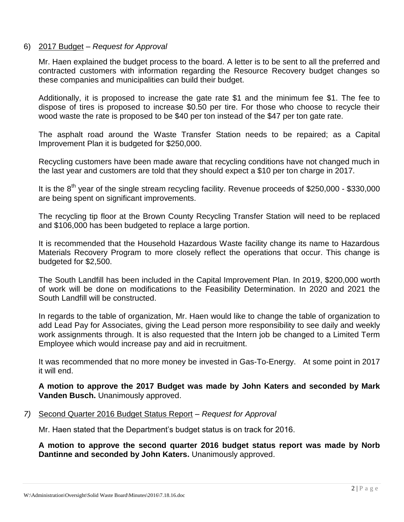#### 6) 2017 Budget – *Request for Approval*

Mr. Haen explained the budget process to the board. A letter is to be sent to all the preferred and contracted customers with information regarding the Resource Recovery budget changes so these companies and municipalities can build their budget.

Additionally, it is proposed to increase the gate rate \$1 and the minimum fee \$1. The fee to dispose of tires is proposed to increase \$0.50 per tire. For those who choose to recycle their wood waste the rate is proposed to be \$40 per ton instead of the \$47 per ton gate rate.

The asphalt road around the Waste Transfer Station needs to be repaired; as a Capital Improvement Plan it is budgeted for \$250,000.

Recycling customers have been made aware that recycling conditions have not changed much in the last year and customers are told that they should expect a \$10 per ton charge in 2017.

It is the  $8<sup>th</sup>$  year of the single stream recycling facility. Revenue proceeds of \$250,000 - \$330,000 are being spent on significant improvements.

The recycling tip floor at the Brown County Recycling Transfer Station will need to be replaced and \$106,000 has been budgeted to replace a large portion.

It is recommended that the Household Hazardous Waste facility change its name to Hazardous Materials Recovery Program to more closely reflect the operations that occur. This change is budgeted for \$2,500.

The South Landfill has been included in the Capital Improvement Plan. In 2019, \$200,000 worth of work will be done on modifications to the Feasibility Determination. In 2020 and 2021 the South Landfill will be constructed.

In regards to the table of organization, Mr. Haen would like to change the table of organization to add Lead Pay for Associates, giving the Lead person more responsibility to see daily and weekly work assignments through. It is also requested that the Intern job be changed to a Limited Term Employee which would increase pay and aid in recruitment.

It was recommended that no more money be invested in Gas-To-Energy. At some point in 2017 it will end.

**A motion to approve the 2017 Budget was made by John Katers and seconded by Mark Vanden Busch.** Unanimously approved.

#### *7)* Second Quarter 2016 Budget Status Report – *Request for Approval*

Mr. Haen stated that the Department's budget status is on track for 2016.

**A motion to approve the second quarter 2016 budget status report was made by Norb Dantinne and seconded by John Katers.** Unanimously approved.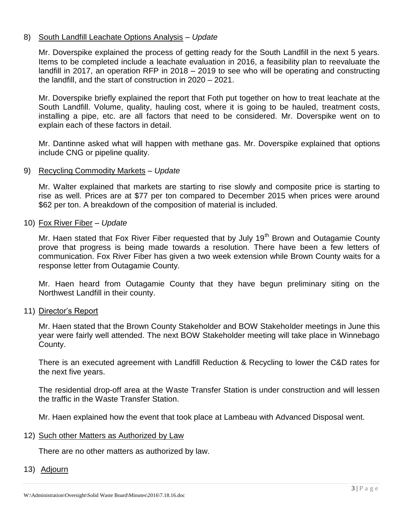#### 8) South Landfill Leachate Options Analysis – *Update*

Mr. Doverspike explained the process of getting ready for the South Landfill in the next 5 years. Items to be completed include a leachate evaluation in 2016, a feasibility plan to reevaluate the landfill in 2017, an operation RFP in 2018 – 2019 to see who will be operating and constructing the landfill, and the start of construction in 2020 – 2021.

Mr. Doverspike briefly explained the report that Foth put together on how to treat leachate at the South Landfill, Volume, quality, hauling cost, where it is going to be hauled, treatment costs, installing a pipe, etc. are all factors that need to be considered. Mr. Doverspike went on to explain each of these factors in detail.

Mr. Dantinne asked what will happen with methane gas. Mr. Doverspike explained that options include CNG or pipeline quality.

#### 9) Recycling Commodity Markets – *Update*

Mr. Walter explained that markets are starting to rise slowly and composite price is starting to rise as well. Prices are at \$77 per ton compared to December 2015 when prices were around \$62 per ton. A breakdown of the composition of material is included.

#### 10) Fox River Fiber – *Update*

Mr. Haen stated that Fox River Fiber requested that by July  $19<sup>th</sup>$  Brown and Outagamie County prove that progress is being made towards a resolution. There have been a few letters of communication. Fox River Fiber has given a two week extension while Brown County waits for a response letter from Outagamie County.

Mr. Haen heard from Outagamie County that they have begun preliminary siting on the Northwest Landfill in their county.

#### 11) Director's Report

Mr. Haen stated that the Brown County Stakeholder and BOW Stakeholder meetings in June this year were fairly well attended. The next BOW Stakeholder meeting will take place in Winnebago County.

There is an executed agreement with Landfill Reduction & Recycling to lower the C&D rates for the next five years.

The residential drop-off area at the Waste Transfer Station is under construction and will lessen the traffic in the Waste Transfer Station.

Mr. Haen explained how the event that took place at Lambeau with Advanced Disposal went.

#### 12) Such other Matters as Authorized by Law

There are no other matters as authorized by law.

#### 13) Adjourn